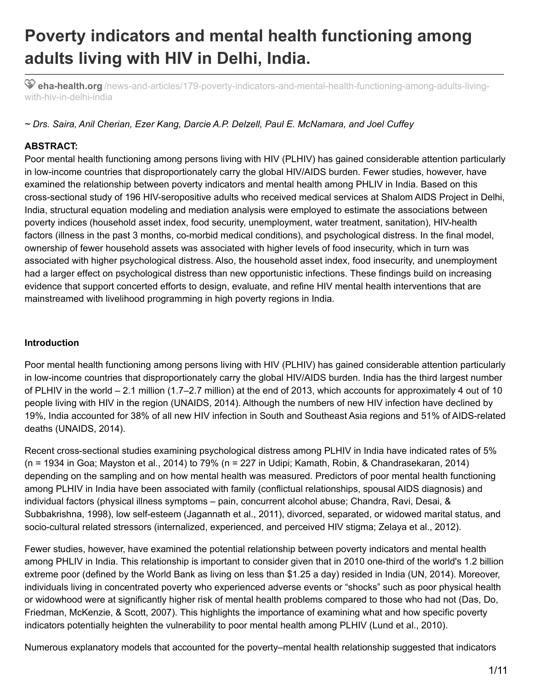# **Poverty indicators and mental health functioning among adults living with HIV in Delhi, India.**

**eha-health.org** [/news-and-articles/179-poverty-indicators-and-mental-health-functioning-among-adults-living](https://eha-health.org/news-and-articles/179-poverty-indicators-and-mental-health-functioning-among-adults-living-with-hiv-in-delhi-india)with-hiv-in-delhi-india

# *~ Drs. Saira, Anil Cherian, Ezer Kang, Darcie A.P. Delzell, Paul E. McNamara, and Joel Cuffey*

# **ABSTRACT:**

Poor mental health functioning among persons living with HIV (PLHIV) has gained considerable attention particularly in low-income countries that disproportionately carry the global HIV/AIDS burden. Fewer studies, however, have examined the relationship between poverty indicators and mental health among PHLIV in India. Based on this cross-sectional study of 196 HIV-seropositive adults who received medical services at Shalom AIDS Project in Delhi, India, structural equation modeling and mediation analysis were employed to estimate the associations between poverty indices (household asset index, food security, unemployment, water treatment, sanitation), HIV-health factors (illness in the past 3 months, co-morbid medical conditions), and psychological distress. In the final model, ownership of fewer household assets was associated with higher levels of food insecurity, which in turn was associated with higher psychological distress. Also, the household asset index, food insecurity, and unemployment had a larger effect on psychological distress than new opportunistic infections. These findings build on increasing evidence that support concerted efforts to design, evaluate, and refine HIV mental health interventions that are mainstreamed with livelihood programming in high poverty regions in India.

## **Introduction**

Poor mental health functioning among persons living with HIV (PLHIV) has gained considerable attention particularly in low-income countries that disproportionately carry the global HIV/AIDS burden. India has the third largest number of PLHIV in the world – 2.1 million (1.7–2.7 million) at the end of 2013, which accounts for approximately 4 out of 10 people living with HIV in the region (UNAIDS, 2014). Although the numbers of new HIV infection have declined by 19%, India accounted for 38% of all new HIV infection in South and Southeast Asia regions and 51% of AIDS-related deaths (UNAIDS, 2014).

Recent cross-sectional studies examining psychological distress among PLHIV in India have indicated rates of 5% (n = 1934 in Goa; Mayston et al., 2014) to 79% (n = 227 in Udipi; Kamath, Robin, & Chandrasekaran, 2014) depending on the sampling and on how mental health was measured. Predictors of poor mental health functioning among PLHIV in India have been associated with family (conflictual relationships, spousal AIDS diagnosis) and individual factors (physical illness symptoms – pain, concurrent alcohol abuse; Chandra, Ravi, Desai, & Subbakrishna, 1998), low self-esteem (Jagannath et al., 2011), divorced, separated, or widowed marital status, and socio-cultural related stressors (internalized, experienced, and perceived HIV stigma; Zelaya et al., 2012).

Fewer studies, however, have examined the potential relationship between poverty indicators and mental health among PHLIV in India. This relationship is important to consider given that in 2010 one-third of the world's 1.2 billion extreme poor (defined by the World Bank as living on less than \$1.25 a day) resided in India (UN, 2014). Moreover, individuals living in concentrated poverty who experienced adverse events or "shocks" such as poor physical health or widowhood were at significantly higher risk of mental health problems compared to those who had not (Das, Do, Friedman, McKenzie, & Scott, 2007). This highlights the importance of examining what and how specific poverty indicators potentially heighten the vulnerability to poor mental health among PLHIV (Lund et al., 2010).

Numerous explanatory models that accounted for the poverty–mental health relationship suggested that indicators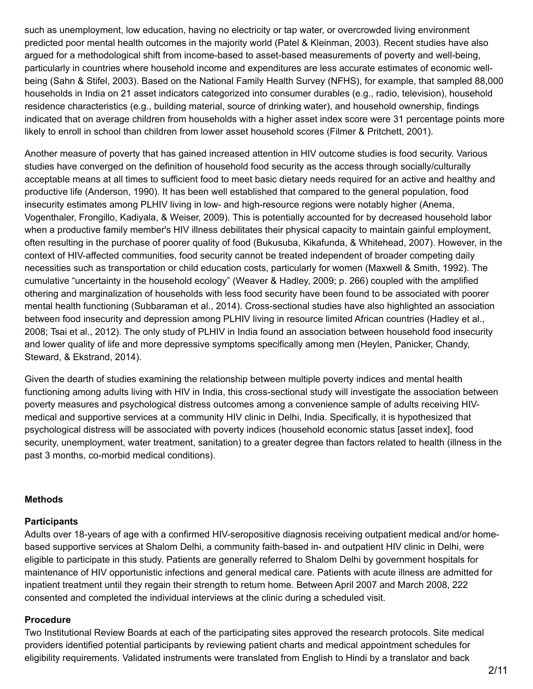such as unemployment, low education, having no electricity or tap water, or overcrowded living environment predicted poor mental health outcomes in the majority world (Patel & Kleinman, 2003). Recent studies have also argued for a methodological shift from income-based to asset-based measurements of poverty and well-being, particularly in countries where household income and expenditures are less accurate estimates of economic wellbeing (Sahn & Stifel, 2003). Based on the National Family Health Survey (NFHS), for example, that sampled 88,000 households in India on 21 asset indicators categorized into consumer durables (e.g., radio, television), household residence characteristics (e.g., building material, source of drinking water), and household ownership, findings indicated that on average children from households with a higher asset index score were 31 percentage points more likely to enroll in school than children from lower asset household scores (Filmer & Pritchett, 2001).

Another measure of poverty that has gained increased attention in HIV outcome studies is food security. Various studies have converged on the definition of household food security as the access through socially/culturally acceptable means at all times to sufficient food to meet basic dietary needs required for an active and healthy and productive life (Anderson, 1990). It has been well established that compared to the general population, food insecurity estimates among PLHIV living in low- and high-resource regions were notably higher (Anema, Vogenthaler, Frongillo, Kadiyala, & Weiser, 2009). This is potentially accounted for by decreased household labor when a productive family member's HIV illness debilitates their physical capacity to maintain gainful employment, often resulting in the purchase of poorer quality of food (Bukusuba, Kikafunda, & Whitehead, 2007). However, in the context of HIV-affected communities, food security cannot be treated independent of broader competing daily necessities such as transportation or child education costs, particularly for women (Maxwell & Smith, 1992). The cumulative "uncertainty in the household ecology" (Weaver & Hadley, 2009; p. 266) coupled with the amplified othering and marginalization of households with less food security have been found to be associated with poorer mental health functioning (Subbaraman et al., 2014). Cross-sectional studies have also highlighted an association between food insecurity and depression among PLHIV living in resource limited African countries (Hadley et al., 2008; Tsai et al., 2012). The only study of PLHIV in India found an association between household food insecurity and lower quality of life and more depressive symptoms specifically among men (Heylen, Panicker, Chandy, Steward, & Ekstrand, 2014).

Given the dearth of studies examining the relationship between multiple poverty indices and mental health functioning among adults living with HIV in India, this cross-sectional study will investigate the association between poverty measures and psychological distress outcomes among a convenience sample of adults receiving HIVmedical and supportive services at a community HIV clinic in Delhi, India. Specifically, it is hypothesized that psychological distress will be associated with poverty indices (household economic status [asset index], food security, unemployment, water treatment, sanitation) to a greater degree than factors related to health (illness in the past 3 months, co-morbid medical conditions).

## **Methods**

## **Participants**

Adults over 18-years of age with a confirmed HIV-seropositive diagnosis receiving outpatient medical and/or homebased supportive services at Shalom Delhi, a community faith-based in- and outpatient HIV clinic in Delhi, were eligible to participate in this study. Patients are generally referred to Shalom Delhi by government hospitals for maintenance of HIV opportunistic infections and general medical care. Patients with acute illness are admitted for inpatient treatment until they regain their strength to return home. Between April 2007 and March 2008, 222 consented and completed the individual interviews at the clinic during a scheduled visit.

## **Procedure**

Two Institutional Review Boards at each of the participating sites approved the research protocols. Site medical providers identified potential participants by reviewing patient charts and medical appointment schedules for eligibility requirements. Validated instruments were translated from English to Hindi by a translator and back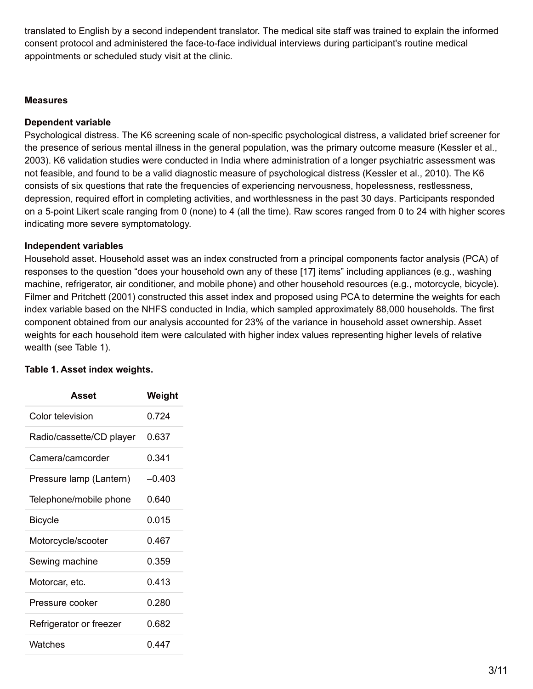translated to English by a second independent translator. The medical site staff was trained to explain the informed consent protocol and administered the face-to-face individual interviews during participant's routine medical appointments or scheduled study visit at the clinic.

## **Measures**

## **Dependent variable**

Psychological distress. The K6 screening scale of non-specific psychological distress, a validated brief screener for the presence of serious mental illness in the general population, was the primary outcome measure (Kessler et al., 2003). K6 validation studies were conducted in India where administration of a longer psychiatric assessment was not feasible, and found to be a valid diagnostic measure of psychological distress (Kessler et al., 2010). The K6 consists of six questions that rate the frequencies of experiencing nervousness, hopelessness, restlessness, depression, required effort in completing activities, and worthlessness in the past 30 days. Participants responded on a 5-point Likert scale ranging from 0 (none) to 4 (all the time). Raw scores ranged from 0 to 24 with higher scores indicating more severe symptomatology.

## **Independent variables**

Household asset. Household asset was an index constructed from a principal components factor analysis (PCA) of responses to the question "does your household own any of these [17] items" including appliances (e.g., washing machine, refrigerator, air conditioner, and mobile phone) and other household resources (e.g., motorcycle, bicycle). Filmer and Pritchett (2001) constructed this asset index and proposed using PCA to determine the weights for each index variable based on the NHFS conducted in India, which sampled approximately 88,000 households. The first component obtained from our analysis accounted for 23% of the variance in household asset ownership. Asset weights for each household item were calculated with higher index values representing higher levels of relative wealth (see Table 1).

## **Table 1. Asset index weights.**

| Asset                    | Weight   |
|--------------------------|----------|
| Color television         | በ 724    |
| Radio/cassette/CD player | 0 637    |
| Camera/camcorder         | ი 341    |
| Pressure lamp (Lantern)  | $-0.403$ |
| Telephone/mobile phone   | በ 640    |
| <b>Bicycle</b>           | 0 0 1 5  |
| Motorcycle/scooter       | በ 467    |
| Sewing machine           | 0 359    |
| Motorcar, etc.           | 0413     |
| Pressure cooker          | በ 280    |
| Refrigerator or freezer  | 0 682    |
| Watches                  | በ 447    |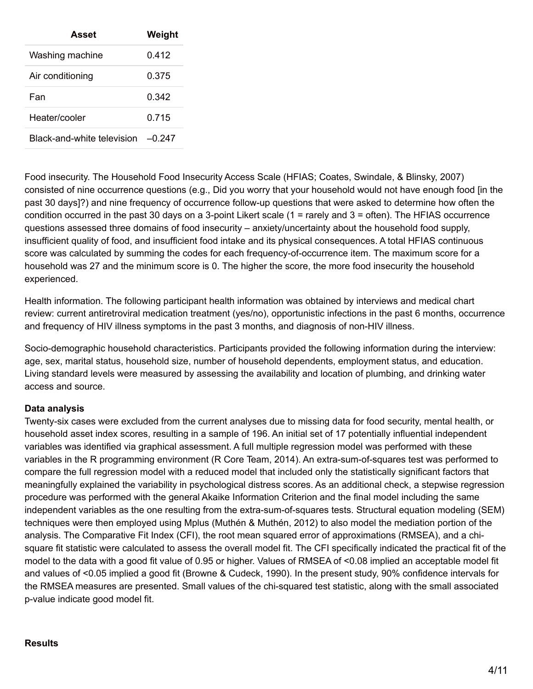| Asset                      | Weight |
|----------------------------|--------|
| Washing machine            | በ 412  |
| Air conditioning           | 0.375  |
| Fan                        | ი 342  |
| Heater/cooler              | 0 715  |
| Black-and-white television | -0 247 |

Food insecurity. The Household Food Insecurity Access Scale (HFIAS; Coates, Swindale, & Blinsky, 2007) consisted of nine occurrence questions (e.g., Did you worry that your household would not have enough food [in the past 30 days]?) and nine frequency of occurrence follow-up questions that were asked to determine how often the condition occurred in the past 30 days on a 3-point Likert scale (1 = rarely and 3 = often). The HFIAS occurrence questions assessed three domains of food insecurity – anxiety/uncertainty about the household food supply, insufficient quality of food, and insufficient food intake and its physical consequences. A total HFIAS continuous score was calculated by summing the codes for each frequency-of-occurrence item. The maximum score for a household was 27 and the minimum score is 0. The higher the score, the more food insecurity the household experienced.

Health information. The following participant health information was obtained by interviews and medical chart review: current antiretroviral medication treatment (yes/no), opportunistic infections in the past 6 months, occurrence and frequency of HIV illness symptoms in the past 3 months, and diagnosis of non-HIV illness.

Socio-demographic household characteristics. Participants provided the following information during the interview: age, sex, marital status, household size, number of household dependents, employment status, and education. Living standard levels were measured by assessing the availability and location of plumbing, and drinking water access and source.

# **Data analysis**

Twenty-six cases were excluded from the current analyses due to missing data for food security, mental health, or household asset index scores, resulting in a sample of 196. An initial set of 17 potentially influential independent variables was identified via graphical assessment. A full multiple regression model was performed with these variables in the R programming environment (R Core Team, 2014). An extra-sum-of-squares test was performed to compare the full regression model with a reduced model that included only the statistically significant factors that meaningfully explained the variability in psychological distress scores. As an additional check, a stepwise regression procedure was performed with the general Akaike Information Criterion and the final model including the same independent variables as the one resulting from the extra-sum-of-squares tests. Structural equation modeling (SEM) techniques were then employed using Mplus (Muthén & Muthén, 2012) to also model the mediation portion of the analysis. The Comparative Fit Index (CFI), the root mean squared error of approximations (RMSEA), and a chisquare fit statistic were calculated to assess the overall model fit. The CFI specifically indicated the practical fit of the model to the data with a good fit value of 0.95 or higher. Values of RMSEA of <0.08 implied an acceptable model fit and values of <0.05 implied a good fit (Browne & Cudeck, 1990). In the present study, 90% confidence intervals for the RMSEA measures are presented. Small values of the chi-squared test statistic, along with the small associated p-value indicate good model fit.

#### **Results**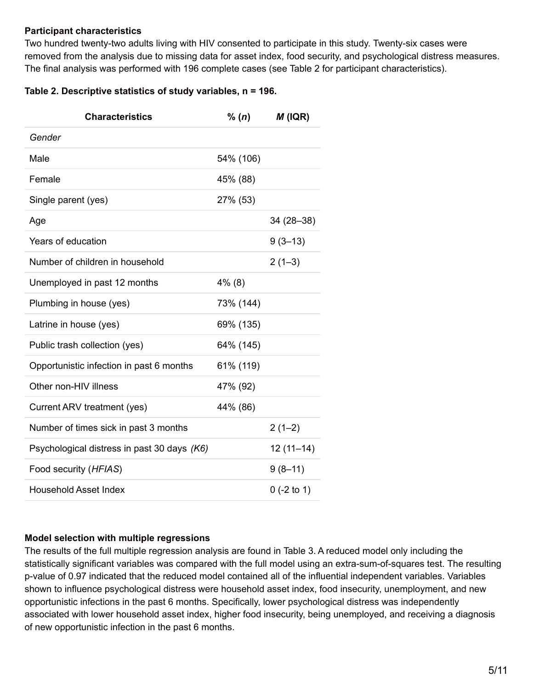## **Participant characteristics**

Two hundred twenty-two adults living with HIV consented to participate in this study. Twenty-six cases were removed from the analysis due to missing data for asset index, food security, and psychological distress measures. The final analysis was performed with 196 complete cases (see Table 2 for participant characteristics).

## **Table 2. Descriptive statistics of study variables, n = 196.**

| <b>Characteristics</b>                      | % (n)     | $M$ (IQR)     |
|---------------------------------------------|-----------|---------------|
| Gender                                      |           |               |
| Male                                        | 54% (106) |               |
| Female                                      | 45% (88)  |               |
| Single parent (yes)                         | 27% (53)  |               |
| Age                                         |           | $34(28-38)$   |
| Years of education                          |           | $9(3-13)$     |
| Number of children in household             |           | $2(1-3)$      |
| Unemployed in past 12 months                | $4\%$ (8) |               |
| Plumbing in house (yes)                     | 73% (144) |               |
| Latrine in house (yes)                      | 69% (135) |               |
| Public trash collection (yes)               | 64% (145) |               |
| Opportunistic infection in past 6 months    | 61% (119) |               |
| Other non-HIV illness                       | 47% (92)  |               |
| Current ARV treatment (yes)                 | 44% (86)  |               |
| Number of times sick in past 3 months       |           | $2(1-2)$      |
| Psychological distress in past 30 days (K6) |           | $12(11-14)$   |
| Food security (HFIAS)                       |           | $9(8-11)$     |
| <b>Household Asset Index</b>                |           | $0$ (-2 to 1) |

## **Model selection with multiple regressions**

The results of the full multiple regression analysis are found in Table 3. A reduced model only including the statistically significant variables was compared with the full model using an extra-sum-of-squares test. The resulting p-value of 0.97 indicated that the reduced model contained all of the influential independent variables. Variables shown to influence psychological distress were household asset index, food insecurity, unemployment, and new opportunistic infections in the past 6 months. Specifically, lower psychological distress was independently associated with lower household asset index, higher food insecurity, being unemployed, and receiving a diagnosis of new opportunistic infection in the past 6 months.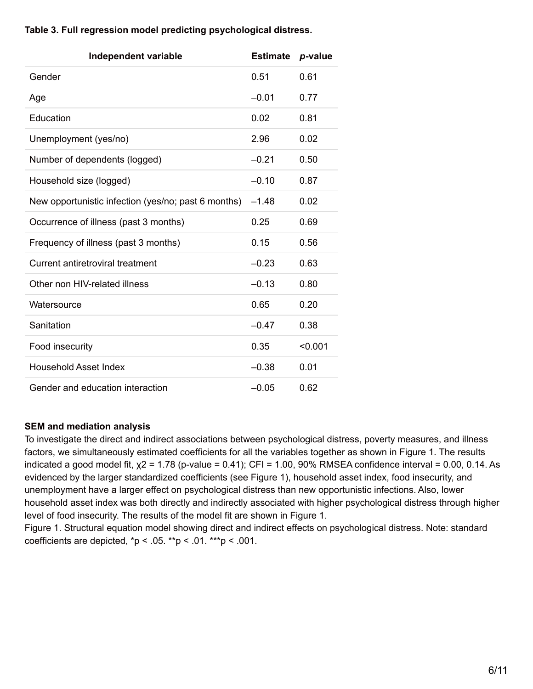| <b>Independent variable</b>                         | <b>Estimate</b> | p-value |
|-----------------------------------------------------|-----------------|---------|
| Gender                                              | 0.51            | 0.61    |
| Age                                                 | $-0.01$         | 0.77    |
| Education                                           | 0.02            | 0.81    |
| Unemployment (yes/no)                               | 2.96            | 0.02    |
| Number of dependents (logged)                       | $-0.21$         | 0.50    |
| Household size (logged)                             | $-0.10$         | 0.87    |
| New opportunistic infection (yes/no; past 6 months) | $-1.48$         | 0.02    |
| Occurrence of illness (past 3 months)               | 0.25            | 0.69    |
| Frequency of illness (past 3 months)                | 0.15            | 0.56    |
| Current antiretroviral treatment                    | $-0.23$         | 0.63    |
| Other non HIV-related illness                       | $-0.13$         | 0.80    |
| Watersource                                         | 0.65            | 0.20    |
| Sanitation                                          | $-0.47$         | 0.38    |
| Food insecurity                                     | 0.35            | < 0.001 |
| <b>Household Asset Index</b>                        | $-0.38$         | 0.01    |
| Gender and education interaction                    | $-0.05$         | 0.62    |

# **Table 3. Full regression model predicting psychological distress.**

## **SEM and mediation analysis**

To investigate the direct and indirect associations between psychological distress, poverty measures, and illness factors, we simultaneously estimated coefficients for all the variables together as shown in Figure 1. The results indicated a good model fit,  $x^2 = 1.78$  (p-value = 0.41); CFI = 1.00, 90% RMSEA confidence interval = 0.00, 0.14. As evidenced by the larger standardized coefficients (see Figure 1), household asset index, food insecurity, and unemployment have a larger effect on psychological distress than new opportunistic infections. Also, lower household asset index was both directly and indirectly associated with higher psychological distress through higher level of food insecurity. The results of the model fit are shown in Figure 1.

Figure 1. Structural equation model showing direct and indirect effects on psychological distress. Note: standard coefficients are depicted,  $np < .05$ . \*\*p < .01. \*\*\*p < .001.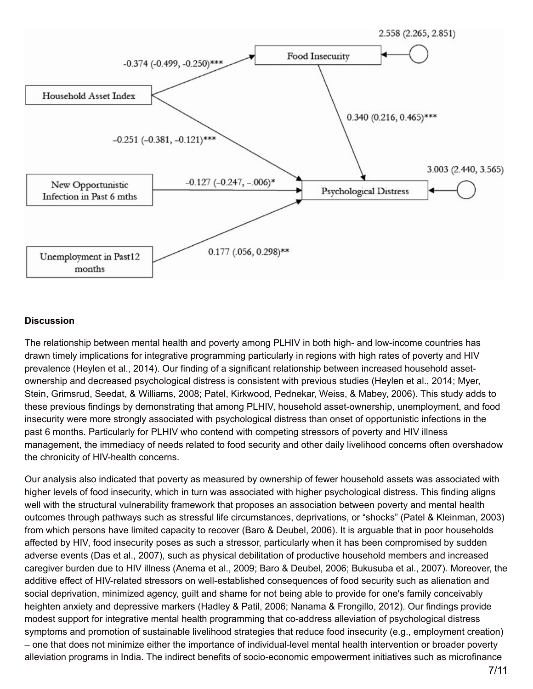

#### **Discussion**

The relationship between mental health and poverty among PLHIV in both high- and low-income countries has drawn timely implications for integrative programming particularly in regions with high rates of poverty and HIV prevalence (Heylen et al., 2014). Our finding of a significant relationship between increased household assetownership and decreased psychological distress is consistent with previous studies (Heylen et al., 2014; Myer, Stein, Grimsrud, Seedat, & Williams, 2008; Patel, Kirkwood, Pednekar, Weiss, & Mabey, 2006). This study adds to these previous findings by demonstrating that among PLHIV, household asset-ownership, unemployment, and food insecurity were more strongly associated with psychological distress than onset of opportunistic infections in the past 6 months. Particularly for PLHIV who contend with competing stressors of poverty and HIV illness management, the immediacy of needs related to food security and other daily livelihood concerns often overshadow the chronicity of HIV-health concerns.

Our analysis also indicated that poverty as measured by ownership of fewer household assets was associated with higher levels of food insecurity, which in turn was associated with higher psychological distress. This finding aligns well with the structural vulnerability framework that proposes an association between poverty and mental health outcomes through pathways such as stressful life circumstances, deprivations, or "shocks" (Patel & Kleinman, 2003) from which persons have limited capacity to recover (Baro & Deubel, 2006). It is arguable that in poor households affected by HIV, food insecurity poses as such a stressor, particularly when it has been compromised by sudden adverse events (Das et al., 2007), such as physical debilitation of productive household members and increased caregiver burden due to HIV illness (Anema et al., 2009; Baro & Deubel, 2006; Bukusuba et al., 2007). Moreover, the additive effect of HIV-related stressors on well-established consequences of food security such as alienation and social deprivation, minimized agency, guilt and shame for not being able to provide for one's family conceivably heighten anxiety and depressive markers (Hadley & Patil, 2006; Nanama & Frongillo, 2012). Our findings provide modest support for integrative mental health programming that co-address alleviation of psychological distress symptoms and promotion of sustainable livelihood strategies that reduce food insecurity (e.g., employment creation) – one that does not minimize either the importance of individual-level mental health intervention or broader poverty alleviation programs in India. The indirect benefits of socio-economic empowerment initiatives such as microfinance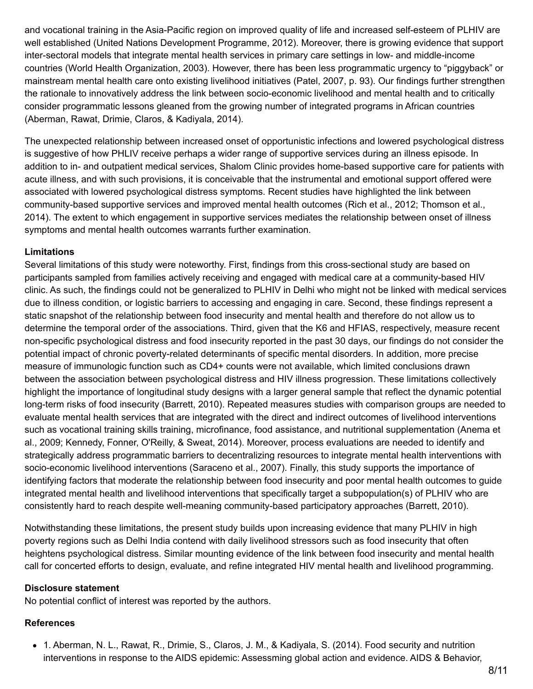and vocational training in the Asia-Pacific region on improved quality of life and increased self-esteem of PLHIV are well established (United Nations Development Programme, 2012). Moreover, there is growing evidence that support inter-sectoral models that integrate mental health services in primary care settings in low- and middle-income countries (World Health Organization, 2003). However, there has been less programmatic urgency to "piggyback" or mainstream mental health care onto existing livelihood initiatives (Patel, 2007, p. 93). Our findings further strengthen the rationale to innovatively address the link between socio-economic livelihood and mental health and to critically consider programmatic lessons gleaned from the growing number of integrated programs in African countries (Aberman, Rawat, Drimie, Claros, & Kadiyala, 2014).

The unexpected relationship between increased onset of opportunistic infections and lowered psychological distress is suggestive of how PHLIV receive perhaps a wider range of supportive services during an illness episode. In addition to in- and outpatient medical services, Shalom Clinic provides home-based supportive care for patients with acute illness, and with such provisions, it is conceivable that the instrumental and emotional support offered were associated with lowered psychological distress symptoms. Recent studies have highlighted the link between community-based supportive services and improved mental health outcomes (Rich et al., 2012; Thomson et al., 2014). The extent to which engagement in supportive services mediates the relationship between onset of illness symptoms and mental health outcomes warrants further examination.

## **Limitations**

Several limitations of this study were noteworthy. First, findings from this cross-sectional study are based on participants sampled from families actively receiving and engaged with medical care at a community-based HIV clinic. As such, the findings could not be generalized to PLHIV in Delhi who might not be linked with medical services due to illness condition, or logistic barriers to accessing and engaging in care. Second, these findings represent a static snapshot of the relationship between food insecurity and mental health and therefore do not allow us to determine the temporal order of the associations. Third, given that the K6 and HFIAS, respectively, measure recent non-specific psychological distress and food insecurity reported in the past 30 days, our findings do not consider the potential impact of chronic poverty-related determinants of specific mental disorders. In addition, more precise measure of immunologic function such as CD4+ counts were not available, which limited conclusions drawn between the association between psychological distress and HIV illness progression. These limitations collectively highlight the importance of longitudinal study designs with a larger general sample that reflect the dynamic potential long-term risks of food insecurity (Barrett, 2010). Repeated measures studies with comparison groups are needed to evaluate mental health services that are integrated with the direct and indirect outcomes of livelihood interventions such as vocational training skills training, microfinance, food assistance, and nutritional supplementation (Anema et al., 2009; Kennedy, Fonner, O'Reilly, & Sweat, 2014). Moreover, process evaluations are needed to identify and strategically address programmatic barriers to decentralizing resources to integrate mental health interventions with socio-economic livelihood interventions (Saraceno et al., 2007). Finally, this study supports the importance of identifying factors that moderate the relationship between food insecurity and poor mental health outcomes to guide integrated mental health and livelihood interventions that specifically target a subpopulation(s) of PLHIV who are consistently hard to reach despite well-meaning community-based participatory approaches (Barrett, 2010).

Notwithstanding these limitations, the present study builds upon increasing evidence that many PLHIV in high poverty regions such as Delhi India contend with daily livelihood stressors such as food insecurity that often heightens psychological distress. Similar mounting evidence of the link between food insecurity and mental health call for concerted efforts to design, evaluate, and refine integrated HIV mental health and livelihood programming.

#### **Disclosure statement**

No potential conflict of interest was reported by the authors.

# **References**

1. Aberman, N. L., Rawat, R., Drimie, S., Claros, J. M., & Kadiyala, S. (2014). Food security and nutrition interventions in response to the AIDS epidemic: Assessming global action and evidence. AIDS & Behavior,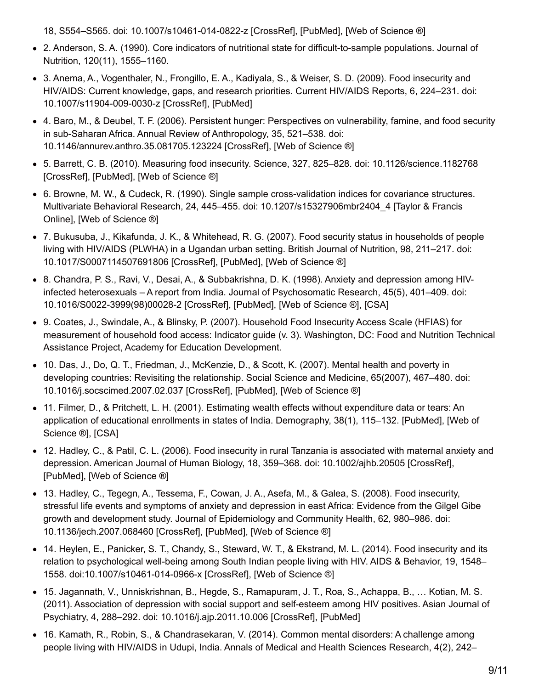18, S554–S565. doi: 10.1007/s10461-014-0822-z [CrossRef], [PubMed], [Web of Science ®]

- 2. Anderson, S. A. (1990). Core indicators of nutritional state for difficult-to-sample populations. Journal of Nutrition, 120(11), 1555–1160.
- 3. Anema, A., Vogenthaler, N., Frongillo, E. A., Kadiyala, S., & Weiser, S. D. (2009). Food insecurity and HIV/AIDS: Current knowledge, gaps, and research priorities. Current HIV/AIDS Reports, 6, 224–231. doi: 10.1007/s11904-009-0030-z [CrossRef], [PubMed]
- 4. Baro, M., & Deubel, T. F. (2006). Persistent hunger: Perspectives on vulnerability, famine, and food security in sub-Saharan Africa. Annual Review of Anthropology, 35, 521–538. doi: 10.1146/annurev.anthro.35.081705.123224 [CrossRef], [Web of Science ®]
- 5. Barrett, C. B. (2010). Measuring food insecurity. Science, 327, 825–828. doi: 10.1126/science.1182768 [CrossRef], [PubMed], [Web of Science ®]
- 6. Browne, M. W., & Cudeck, R. (1990). Single sample cross-validation indices for covariance structures. Multivariate Behavioral Research, 24, 445–455. doi: 10.1207/s15327906mbr2404\_4 [Taylor & Francis Online], [Web of Science ®]
- 7. Bukusuba, J., Kikafunda, J. K., & Whitehead, R. G. (2007). Food security status in households of people living with HIV/AIDS (PLWHA) in a Ugandan urban setting. British Journal of Nutrition, 98, 211–217. doi: 10.1017/S0007114507691806 [CrossRef], [PubMed], [Web of Science ®]
- 8. Chandra, P. S., Ravi, V., Desai, A., & Subbakrishna, D. K. (1998). Anxiety and depression among HIVinfected heterosexuals – A report from India. Journal of Psychosomatic Research, 45(5), 401–409. doi: 10.1016/S0022-3999(98)00028-2 [CrossRef], [PubMed], [Web of Science ®], [CSA]
- 9. Coates, J., Swindale, A., & Blinsky, P. (2007). Household Food Insecurity Access Scale (HFIAS) for measurement of household food access: Indicator guide (v. 3). Washington, DC: Food and Nutrition Technical Assistance Project, Academy for Education Development.
- 10. Das, J., Do, Q. T., Friedman, J., McKenzie, D., & Scott, K. (2007). Mental health and poverty in developing countries: Revisiting the relationship. Social Science and Medicine, 65(2007), 467–480. doi: 10.1016/j.socscimed.2007.02.037 [CrossRef], [PubMed], [Web of Science ®]
- 11. Filmer, D., & Pritchett, L. H. (2001). Estimating wealth effects without expenditure data or tears: An application of educational enrollments in states of India. Demography, 38(1), 115–132. [PubMed], [Web of Science ®], [CSA]
- 12. Hadley, C., & Patil, C. L. (2006). Food insecurity in rural Tanzania is associated with maternal anxiety and depression. American Journal of Human Biology, 18, 359–368. doi: 10.1002/ajhb.20505 [CrossRef], [PubMed], [Web of Science ®]
- 13. Hadley, C., Tegegn, A., Tessema, F., Cowan, J. A., Asefa, M., & Galea, S. (2008). Food insecurity, stressful life events and symptoms of anxiety and depression in east Africa: Evidence from the Gilgel Gibe growth and development study. Journal of Epidemiology and Community Health, 62, 980–986. doi: 10.1136/jech.2007.068460 [CrossRef], [PubMed], [Web of Science ®]
- 14. Heylen, E., Panicker, S. T., Chandy, S., Steward, W. T., & Ekstrand, M. L. (2014). Food insecurity and its relation to psychological well-being among South Indian people living with HIV. AIDS & Behavior, 19, 1548– 1558. doi:10.1007/s10461-014-0966-x [CrossRef], [Web of Science ®]
- 15. Jagannath, V., Unniskrishnan, B., Hegde, S., Ramapuram, J. T., Roa, S., Achappa, B., … Kotian, M. S. (2011). Association of depression with social support and self-esteem among HIV positives. Asian Journal of Psychiatry, 4, 288–292. doi: 10.1016/j.ajp.2011.10.006 [CrossRef], [PubMed]
- 16. Kamath, R., Robin, S., & Chandrasekaran, V. (2014). Common mental disorders: A challenge among people living with HIV/AIDS in Udupi, India. Annals of Medical and Health Sciences Research, 4(2), 242–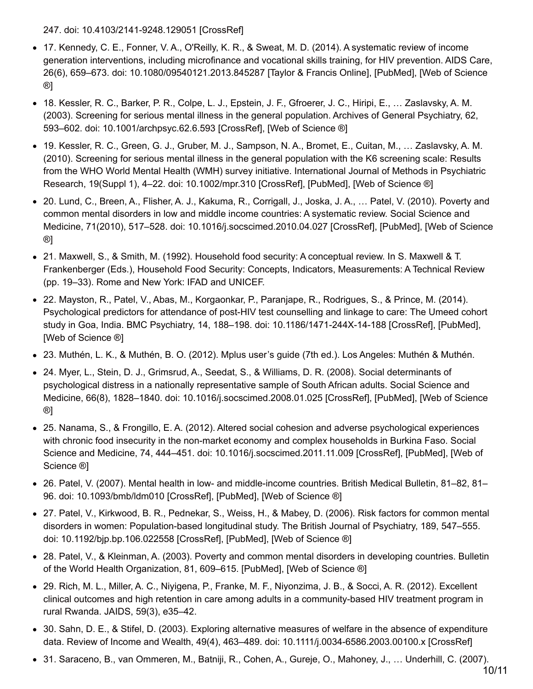247. doi: 10.4103/2141-9248.129051 [CrossRef]

- 17. Kennedy, C. E., Fonner, V. A., O'Reilly, K. R., & Sweat, M. D. (2014). A systematic review of income generation interventions, including microfinance and vocational skills training, for HIV prevention. AIDS Care, 26(6), 659–673. doi: 10.1080/09540121.2013.845287 [Taylor & Francis Online], [PubMed], [Web of Science ®]
- 18. Kessler, R. C., Barker, P. R., Colpe, L. J., Epstein, J. F., Gfroerer, J. C., Hiripi, E., … Zaslavsky, A. M. (2003). Screening for serious mental illness in the general population. Archives of General Psychiatry, 62, 593–602. doi: 10.1001/archpsyc.62.6.593 [CrossRef], [Web of Science ®]
- 19. Kessler, R. C., Green, G. J., Gruber, M. J., Sampson, N. A., Bromet, E., Cuitan, M., … Zaslavsky, A. M. (2010). Screening for serious mental illness in the general population with the K6 screening scale: Results from the WHO World Mental Health (WMH) survey initiative. International Journal of Methods in Psychiatric Research, 19(Suppl 1), 4–22. doi: 10.1002/mpr.310 [CrossRef], [PubMed], [Web of Science ®]
- 20. Lund, C., Breen, A., Flisher, A. J., Kakuma, R., Corrigall, J., Joska, J. A., … Patel, V. (2010). Poverty and common mental disorders in low and middle income countries: A systematic review. Social Science and Medicine, 71(2010), 517–528. doi: 10.1016/j.socscimed.2010.04.027 [CrossRef], [PubMed], [Web of Science ®]
- 21. Maxwell, S., & Smith, M. (1992). Household food security: A conceptual review. In S. Maxwell & T. Frankenberger (Eds.), Household Food Security: Concepts, Indicators, Measurements: A Technical Review (pp. 19–33). Rome and New York: IFAD and UNICEF.
- 22. Mayston, R., Patel, V., Abas, M., Korgaonkar, P., Paranjape, R., Rodrigues, S., & Prince, M. (2014). Psychological predictors for attendance of post-HIV test counselling and linkage to care: The Umeed cohort study in Goa, India. BMC Psychiatry, 14, 188–198. doi: 10.1186/1471-244X-14-188 [CrossRef], [PubMed], [Web of Science ®]
- 23. Muthén, L. K., & Muthén, B. O. (2012). Mplus user's guide (7th ed.). Los Angeles: Muthén & Muthén.
- 24. Myer, L., Stein, D. J., Grimsrud, A., Seedat, S., & Williams, D. R. (2008). Social determinants of psychological distress in a nationally representative sample of South African adults. Social Science and Medicine, 66(8), 1828–1840. doi: 10.1016/j.socscimed.2008.01.025 [CrossRef], [PubMed], [Web of Science ®]
- 25. Nanama, S., & Frongillo, E. A. (2012). Altered social cohesion and adverse psychological experiences with chronic food insecurity in the non-market economy and complex households in Burkina Faso. Social Science and Medicine, 74, 444–451. doi: 10.1016/j.socscimed.2011.11.009 [CrossRef], [PubMed], [Web of Science ®]
- 26. Patel, V. (2007). Mental health in low- and middle-income countries. British Medical Bulletin, 81–82, 81– 96. doi: 10.1093/bmb/ldm010 [CrossRef], [PubMed], [Web of Science ®]
- 27. Patel, V., Kirkwood, B. R., Pednekar, S., Weiss, H., & Mabey, D. (2006). Risk factors for common mental disorders in women: Population-based longitudinal study. The British Journal of Psychiatry, 189, 547–555. doi: 10.1192/bjp.bp.106.022558 [CrossRef], [PubMed], [Web of Science ®]
- 28. Patel, V., & Kleinman, A. (2003). Poverty and common mental disorders in developing countries. Bulletin of the World Health Organization, 81, 609–615. [PubMed], [Web of Science ®]
- 29. Rich, M. L., Miller, A. C., Niyigena, P., Franke, M. F., Niyonzima, J. B., & Socci, A. R. (2012). Excellent clinical outcomes and high retention in care among adults in a community-based HIV treatment program in rural Rwanda. JAIDS, 59(3), e35–42.
- 30. Sahn, D. E., & Stifel, D. (2003). Exploring alternative measures of welfare in the absence of expenditure data. Review of Income and Wealth, 49(4), 463–489. doi: 10.1111/j.0034-6586.2003.00100.x [CrossRef]
- 31. Saraceno, B., van Ommeren, M., Batniji, R., Cohen, A., Gureje, O., Mahoney, J., … Underhill, C. (2007).